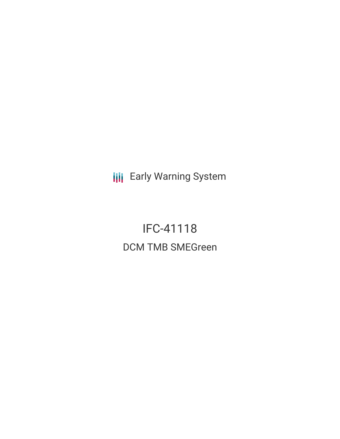**III** Early Warning System

IFC-41118 DCM TMB SMEGreen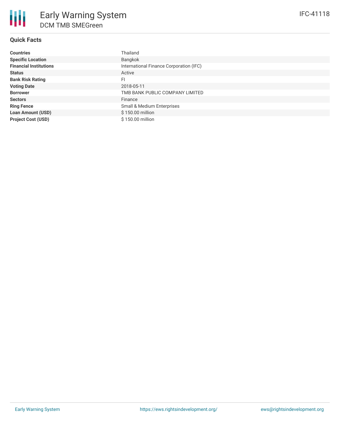# **Quick Facts**

| <b>Countries</b>              | Thailand                                |
|-------------------------------|-----------------------------------------|
| <b>Specific Location</b>      | Bangkok                                 |
| <b>Financial Institutions</b> | International Finance Corporation (IFC) |
| <b>Status</b>                 | Active                                  |
| <b>Bank Risk Rating</b>       | FI                                      |
| <b>Voting Date</b>            | 2018-05-11                              |
| <b>Borrower</b>               | TMB BANK PUBLIC COMPANY LIMITED         |
| <b>Sectors</b>                | Finance                                 |
| <b>Ring Fence</b>             | Small & Medium Enterprises              |
| <b>Loan Amount (USD)</b>      | \$150.00 million                        |
| <b>Project Cost (USD)</b>     | \$150.00 million                        |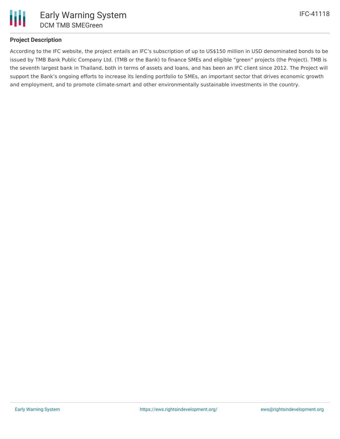

# **Project Description**

According to the IFC website, the project entails an IFC's subscription of up to US\$150 million in USD denominated bonds to be issued by TMB Bank Public Company Ltd. (TMB or the Bank) to finance SMEs and eligible "green" projects (the Project). TMB is the seventh largest bank in Thailand, both in terms of assets and loans, and has been an IFC client since 2012. The Project will support the Bank's ongoing efforts to increase its lending portfolio to SMEs, an important sector that drives economic growth and employment, and to promote climate-smart and other environmentally sustainable investments in the country.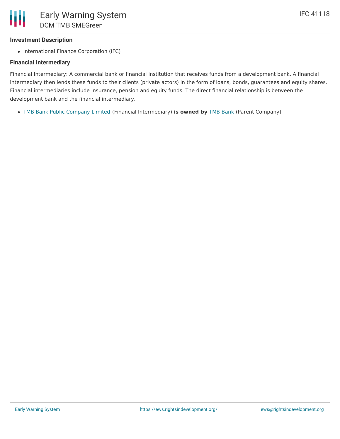### **Investment Description**

• International Finance Corporation (IFC)

#### **Financial Intermediary**

Financial Intermediary: A commercial bank or financial institution that receives funds from a development bank. A financial intermediary then lends these funds to their clients (private actors) in the form of loans, bonds, guarantees and equity shares. Financial intermediaries include insurance, pension and equity funds. The direct financial relationship is between the development bank and the financial intermediary.

TMB Bank Public [Company](file:///actor/810/) Limited (Financial Intermediary) **is owned by** TMB [Bank](file:///actor/4125/) (Parent Company)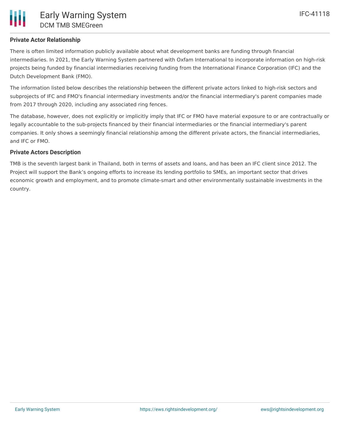# **Private Actor Relationship**

There is often limited information publicly available about what development banks are funding through financial intermediaries. In 2021, the Early Warning System partnered with Oxfam International to incorporate information on high-risk projects being funded by financial intermediaries receiving funding from the International Finance Corporation (IFC) and the Dutch Development Bank (FMO).

The information listed below describes the relationship between the different private actors linked to high-risk sectors and subprojects of IFC and FMO's financial intermediary investments and/or the financial intermediary's parent companies made from 2017 through 2020, including any associated ring fences.

The database, however, does not explicitly or implicitly imply that IFC or FMO have material exposure to or are contractually or legally accountable to the sub-projects financed by their financial intermediaries or the financial intermediary's parent companies. It only shows a seemingly financial relationship among the different private actors, the financial intermediaries, and IFC or FMO.

# **Private Actors Description**

TMB is the seventh largest bank in Thailand, both in terms of assets and loans, and has been an IFC client since 2012. The Project will support the Bank's ongoing efforts to increase its lending portfolio to SMEs, an important sector that drives economic growth and employment, and to promote climate-smart and other environmentally sustainable investments in the country.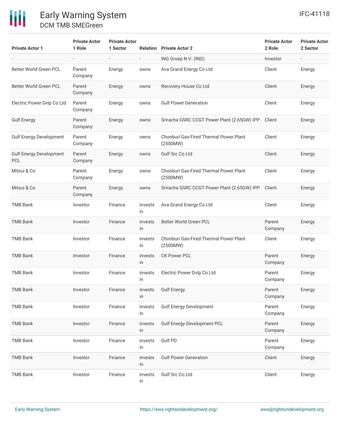| <b>Private Actor 1</b>                       | <b>Private Actor</b><br>1 Role | <b>Private Actor</b><br>1 Sector |                          | <b>Relation</b> Private Actor 2                    | <b>Private Actor</b><br>2 Role | <b>Private Actor</b><br>2 Sector |
|----------------------------------------------|--------------------------------|----------------------------------|--------------------------|----------------------------------------------------|--------------------------------|----------------------------------|
|                                              | $\overline{\phantom{a}}$       | $\overline{\phantom{a}}$         | $\overline{\phantom{a}}$ | ING Groep N.V. (ING)                               | Investor                       |                                  |
| Better World Green PCL                       | Parent<br>Company              | Energy                           | owns                     | Ava Grand Energy Co Ltd                            | Client                         | Energy                           |
| Better World Green PCL                       | Parent<br>Company              | Energy                           | owns                     | Recovery House Co Ltd                              | Client                         | Energy                           |
| Electric Power Dvlp Co Ltd                   | Parent<br>Company              | Energy                           | owns                     | <b>Gulf Power Generation</b>                       | Client                         | Energy                           |
| <b>Gulf Energy</b>                           | Parent<br>Company              | Energy                           | owns                     | Sriracha GSRC CCGT Power Plant (2.65GW) IPP        | Client                         | Energy                           |
| <b>Gulf Energy Development</b>               | Parent<br>Company              | Energy                           | owns                     | Chonburi Gas-Fired Thermal Power Plant<br>(2500MW) | Client                         | Energy                           |
| <b>Gulf Energy Development</b><br><b>PCL</b> | Parent<br>Company              | Energy                           | owns                     | <b>Gulf Src Co Ltd</b>                             | Client                         | Energy                           |
| Mitsui & Co                                  | Parent<br>Company              | Energy                           | owns                     | Chonburi Gas-Fired Thermal Power Plant<br>(2500MW) | Client                         | Energy                           |
| Mitsui & Co                                  | Parent<br>Company              | Energy                           | owns                     | Sriracha GSRC CCGT Power Plant (2.65GW) IPP        | Client                         | Energy                           |
| <b>TMB Bank</b>                              | Investor                       | Finance                          | invests<br>in            | Ava Grand Energy Co Ltd                            | Client                         | Energy                           |
| <b>TMB Bank</b>                              | Investor                       | Finance                          | invests<br>in            | Better World Green PCL                             | Parent<br>Company              | Energy                           |
| <b>TMB Bank</b>                              | Investor                       | Finance                          | invests<br>in            | Chonburi Gas-Fired Thermal Power Plant<br>(2500MW) | Client                         | Energy                           |
| <b>TMB Bank</b>                              | Investor                       | Finance                          | invests<br>in            | <b>CK Power PCL</b>                                | Parent<br>Company              | Energy                           |
| <b>TMB Bank</b>                              | Investor                       | Finance                          | invests<br>in            | Electric Power Dvlp Co Ltd                         | Parent<br>Company              | Energy                           |
| <b>TMB Bank</b>                              | Investor                       | Finance                          | invests<br>in            | <b>Gulf Energy</b>                                 | Parent<br>Company              | Energy                           |
| <b>TMB Bank</b>                              | Investor                       | Finance                          | invests<br>in            | <b>Gulf Energy Development</b>                     | Parent<br>Company              | Energy                           |
| <b>TMB Bank</b>                              | Investor                       | Finance                          | invests<br>in            | <b>Gulf Energy Development PCL</b>                 | Parent<br>Company              | Energy                           |
| <b>TMB Bank</b>                              | Investor                       | Finance                          | invests<br>in            | Gulf PD                                            | Parent<br>Company              | Energy                           |
| <b>TMB Bank</b>                              | Investor                       | Finance                          | invests<br>in            | <b>Gulf Power Generation</b>                       | Client                         | Energy                           |
| <b>TMB Bank</b>                              | Investor                       | Finance                          | invests<br>in            | Gulf Src Co Ltd                                    | Client                         | Energy                           |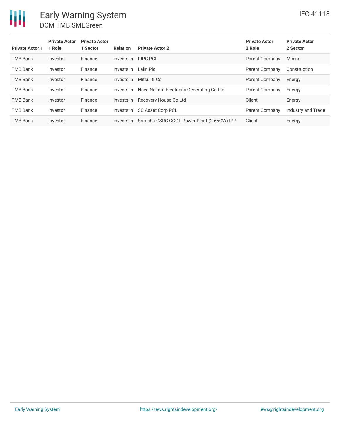| <b>Private Actor 1</b> | <b>Private Actor</b><br>1 Role | <b>Private Actor</b><br>1 Sector | <b>Relation</b> | <b>Private Actor 2</b>                      | <b>Private Actor</b><br>2 Role | <b>Private Actor</b><br>2 Sector |
|------------------------|--------------------------------|----------------------------------|-----------------|---------------------------------------------|--------------------------------|----------------------------------|
| <b>TMB Bank</b>        | Investor                       | Finance                          | invests in      | <b>IRPC PCL</b>                             | Parent Company                 | Mining                           |
| <b>TMB Bank</b>        | Investor                       | Finance                          | invests in      | Lalin Plc                                   | Parent Company                 | Construction                     |
| <b>TMB Bank</b>        | Investor                       | Finance                          | invests in      | Mitsui & Co                                 | Parent Company                 | Energy                           |
| <b>TMB Bank</b>        | Investor                       | Finance                          | invests in      | Nava Nakorn Electricity Generating Co Ltd   | Parent Company                 | Energy                           |
| <b>TMB Bank</b>        | Investor                       | Finance                          | invests in      | Recovery House Co Ltd                       | Client                         | Energy                           |
| <b>TMB Bank</b>        | Investor                       | Finance                          | invests in      | <b>SC Asset Corp PCL</b>                    | Parent Company                 | Industry and Trade               |
| <b>TMB Bank</b>        | Investor                       | Finance                          | invests in      | Sriracha GSRC CCGT Power Plant (2.65GW) IPP | Client                         | Energy                           |